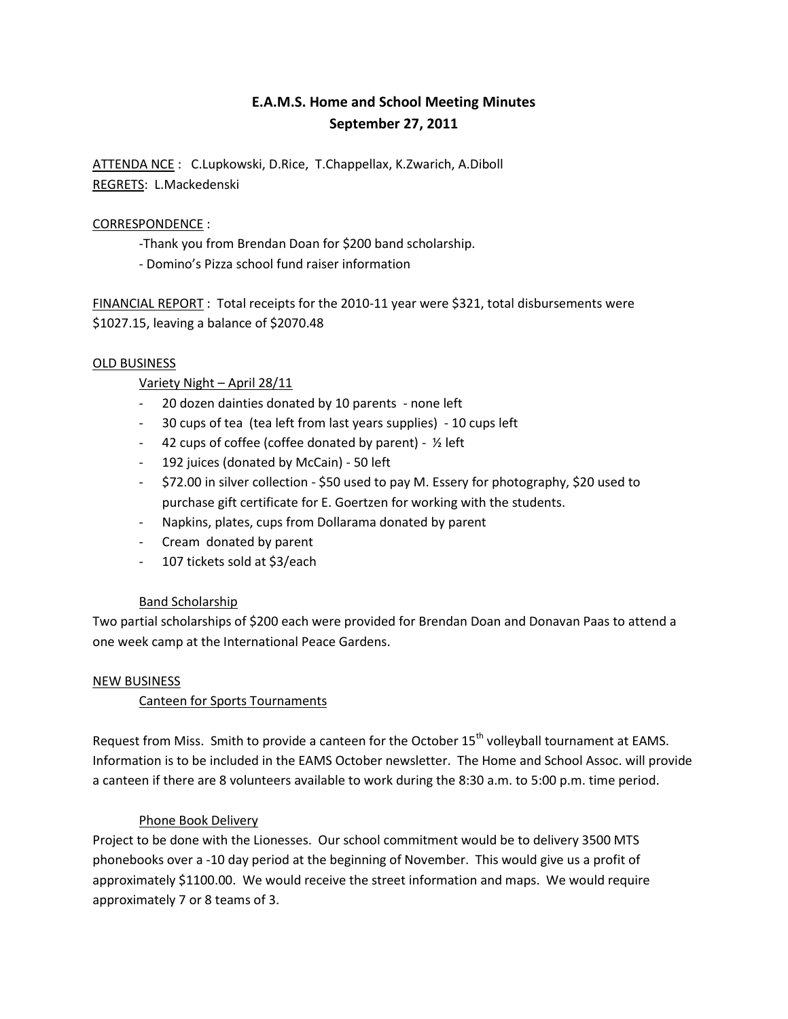# **E.A.M.S. Home and School Meeting Minutes September 27, 2011**

ATTENDA NCE : C.Lupkowski, D.Rice, T.Chappellax, K.Zwarich, A.Diboll REGRETS: L.Mackedenski

# CORRESPONDENCE :

- -Thank you from Brendan Doan for \$200 band scholarship.
- Domino's Pizza school fund raiser information

FINANCIAL REPORT : Total receipts for the 2010-11 year were \$321, total disbursements were \$1027.15, leaving a balance of \$2070.48

## OLD BUSINESS

# Variety Night – April 28/11

- 20 dozen dainties donated by 10 parents none left
- 30 cups of tea (tea left from last years supplies) 10 cups left
- 42 cups of coffee (coffee donated by parent) ½ left
- 192 juices (donated by McCain) 50 left
- \$72.00 in silver collection \$50 used to pay M. Essery for photography, \$20 used to purchase gift certificate for E. Goertzen for working with the students.
- Napkins, plates, cups from Dollarama donated by parent
- Cream donated by parent
- 107 tickets sold at \$3/each

## Band Scholarship

Two partial scholarships of \$200 each were provided for Brendan Doan and Donavan Paas to attend a one week camp at the International Peace Gardens.

## NEW BUSINESS

## Canteen for Sports Tournaments

Request from Miss. Smith to provide a canteen for the October 15<sup>th</sup> volleyball tournament at EAMS. Information is to be included in the EAMS October newsletter. The Home and School Assoc. will provide a canteen if there are 8 volunteers available to work during the 8:30 a.m. to 5:00 p.m. time period.

## Phone Book Delivery

Project to be done with the Lionesses. Our school commitment would be to delivery 3500 MTS phonebooks over a -10 day period at the beginning of November. This would give us a profit of approximately \$1100.00. We would receive the street information and maps. We would require approximately 7 or 8 teams of 3.